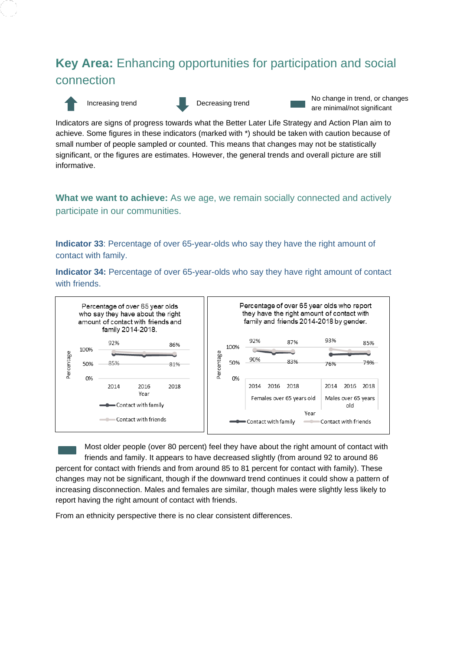# **Key Area:** Enhancing opportunities for participation and social connection



Increasing trend Decreasing trend No change in trend, or changes are minimal/not significant

Indicators are signs of progress towards what the Better Later Life Strategy and Action Plan aim to achieve. Some figures in these indicators (marked with \*) should be taken with caution because of small number of people sampled or counted. This means that changes may not be statistically significant, or the figures are estimates. However, the general trends and overall picture are still informative.

**What we want to achieve:** As we age, we remain socially connected and actively participate in our communities.

**Indicator 33**: Percentage of over 65-year-olds who say they have the right amount of contact with family.

**Indicator 34:** Percentage of over 65-year-olds who say they have right amount of contact with friends.



Most older people (over 80 percent) feel they have about the right amount of contact with friends and family. It appears to have decreased slightly (from around 92 to around 86 percent for contact with friends and from around 85 to 81 percent for contact with family). These changes may not be significant, though if the downward trend continues it could show a pattern of increasing disconnection. Males and females are similar, though males were slightly less likely to report having the right amount of contact with friends.

From an ethnicity perspective there is no clear consistent differences.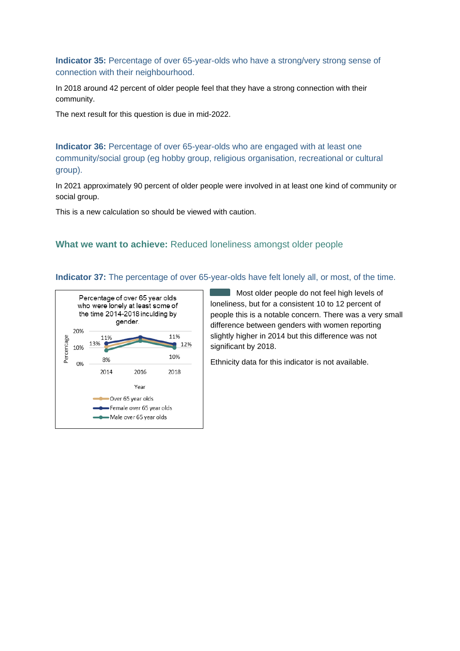**Indicator 35:** Percentage of over 65-year-olds who have a strong/very strong sense of connection with their neighbourhood.

In 2018 around 42 percent of older people feel that they have a strong connection with their community.

The next result for this question is due in mid-2022.

**Indicator 36:** Percentage of over 65-year-olds who are engaged with at least one community/social group (eg hobby group, religious organisation, recreational or cultural group).

In 2021 approximately 90 percent of older people were involved in at least one kind of community or social group.

This is a new calculation so should be viewed with caution.

#### **What we want to achieve:** Reduced loneliness amongst older people

**Indicator 37:** The percentage of over 65-year-olds have felt lonely all, or most, of the time.



Most older people do not feel high levels of loneliness, but for a consistent 10 to 12 percent of people this is a notable concern. There was a very small difference between genders with women reporting slightly higher in 2014 but this difference was not significant by 2018.

Ethnicity data for this indicator is not available.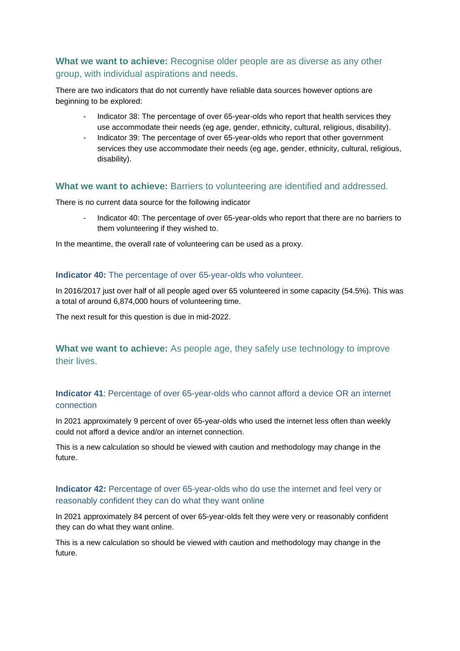## **What we want to achieve:** Recognise older people are as diverse as any other group, with individual aspirations and needs.

There are two indicators that do not currently have reliable data sources however options are beginning to be explored:

- Indicator 38: The percentage of over 65-year-olds who report that health services they use accommodate their needs (eg age, gender, ethnicity, cultural, religious, disability).
- Indicator 39: The percentage of over 65-year-olds who report that other government services they use accommodate their needs (eg age, gender, ethnicity, cultural, religious, disability).

## **What we want to achieve:** Barriers to volunteering are identified and addressed.

There is no current data source for the following indicator

Indicator 40: The percentage of over 65-year-olds who report that there are no barriers to them volunteering if they wished to.

In the meantime, the overall rate of volunteering can be used as a proxy.

#### **Indicator 40:** The percentage of over 65-year-olds who volunteer.

In 2016/2017 just over half of all people aged over 65 volunteered in some capacity (54.5%). This was a total of around 6,874,000 hours of volunteering time.

The next result for this question is due in mid-2022.

**What we want to achieve:** As people age, they safely use technology to improve their lives.

## **Indicator 41**: Percentage of over 65-year-olds who cannot afford a device OR an internet connection

In 2021 approximately 9 percent of over 65-year-olds who used the internet less often than weekly could not afford a device and/or an internet connection.

This is a new calculation so should be viewed with caution and methodology may change in the future.

## **Indicator 42:** Percentage of over 65-year-olds who do use the internet and feel very or reasonably confident they can do what they want online

In 2021 approximately 84 percent of over 65-year-olds felt they were very or reasonably confident they can do what they want online.

This is a new calculation so should be viewed with caution and methodology may change in the future.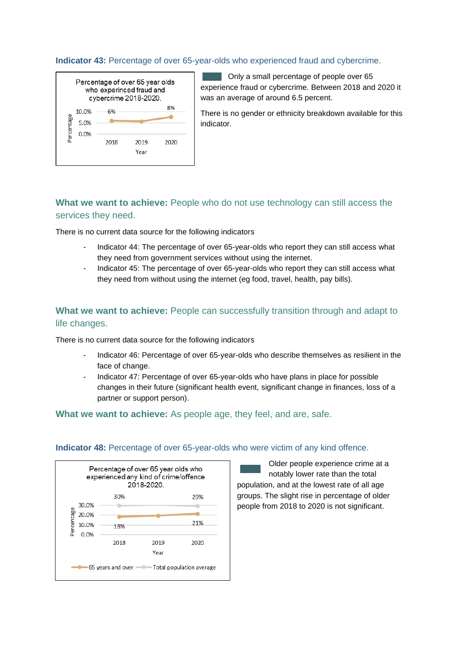#### **Indicator 43:** Percentage of over 65-year-olds who experienced fraud and cybercrime.

| Percentage of over 65 year olds<br>who experinced fraud and<br>cybercrime 2018-2020. |       |      |      |      |  |
|--------------------------------------------------------------------------------------|-------|------|------|------|--|
|                                                                                      | 10.0% | 6%   |      | 8%   |  |
| Percentage                                                                           | 5.0%  |      |      |      |  |
|                                                                                      | 0.0%  |      |      |      |  |
|                                                                                      |       | 2018 | 2019 | 2020 |  |
|                                                                                      |       |      | Year |      |  |
|                                                                                      |       |      |      |      |  |

Only a small percentage of people over 65 experience fraud or cybercrime. Between 2018 and 2020 it was an average of around 6.5 percent.

There is no gender or ethnicity breakdown available for this indicator.

# **What we want to achieve:** People who do not use technology can still access the services they need.

There is no current data source for the following indicators

- Indicator 44: The percentage of over 65-year-olds who report they can still access what they need from government services without using the internet.
- Indicator 45: The percentage of over 65-year-olds who report they can still access what they need from without using the internet (eg food, travel, health, pay bills).

## **What we want to achieve:** People can successfully transition through and adapt to life changes.

There is no current data source for the following indicators

- Indicator 46: Percentage of over 65-year-olds who describe themselves as resilient in the face of change.
- Indicator 47: Percentage of over 65-year-olds who have plans in place for possible changes in their future (significant health event, significant change in finances, loss of a partner or support person).

#### **What we want to achieve:** As people age, they feel, and are, safe.



#### **Indicator 48:** Percentage of over 65-year-olds who were victim of any kind offence.

Older people experience crime at a notably lower rate than the total population, and at the lowest rate of all age groups. The slight rise in percentage of older people from 2018 to 2020 is not significant.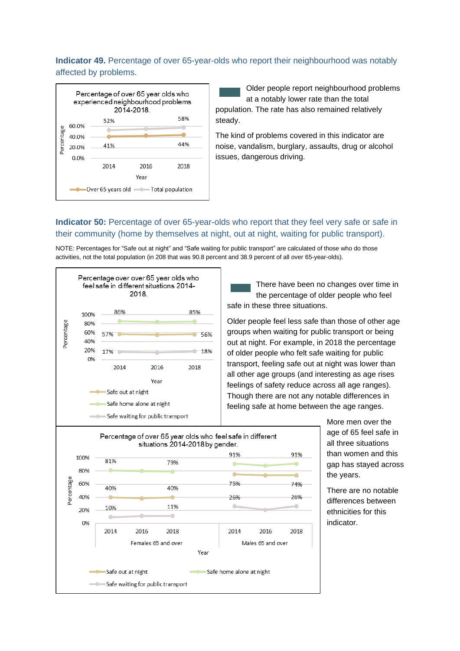## **Indicator 49.** Percentage of over 65-year-olds who report their neighbourhood was notably affected by problems.



Older people report neighbourhood problems at a notably lower rate than the total population. The rate has also remained relatively steady.

The kind of problems covered in this indicator are noise, vandalism, burglary, assaults, drug or alcohol issues, dangerous driving.

## **Indicator 50:** Percentage of over 65-year-olds who report that they feel very safe or safe in their community (home by themselves at night, out at night, waiting for public transport).

NOTE: Percentages for "Safe out at night" and "Safe waiting for public transport" are calculated of those who do those activities, not the total population (in 208 that was 90.8 percent and 38.9 percent of all over 65-year-olds).



There have been no changes over time in the percentage of older people who feel safe in these three situations.

Older people feel less safe than those of other age groups when waiting for public transport or being out at night. For example, in 2018 the percentage of older people who felt safe waiting for public transport, feeling safe out at night was lower than all other age groups (and interesting as age rises feelings of safety reduce across all age ranges). Though there are not any notable differences in feeling safe at home between the age ranges.

> More men over the age of 65 feel safe in all three situations than women and this gap has stayed across the years.

There are no notable differences between ethnicities for this indicator.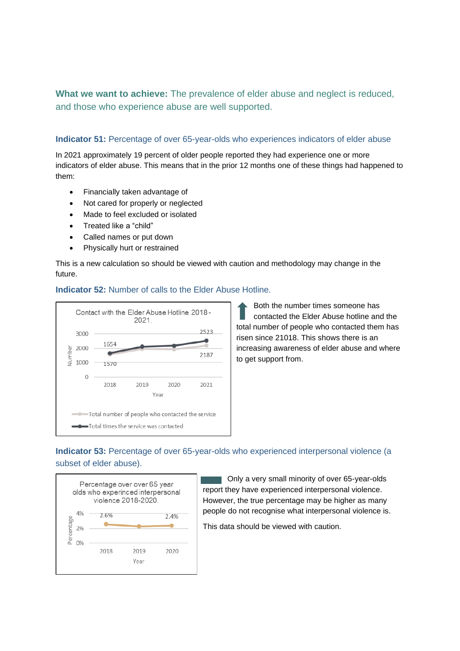**What we want to achieve:** The prevalence of elder abuse and neglect is reduced, and those who experience abuse are well supported.

#### **Indicator 51:** Percentage of over 65-year-olds who experiences indicators of elder abuse

In 2021 approximately 19 percent of older people reported they had experience one or more indicators of elder abuse. This means that in the prior 12 months one of these things had happened to them:

- Financially taken advantage of
- Not cared for properly or neglected
- Made to feel excluded or isolated
- Treated like a "child"
- Called names or put down
- Physically hurt or restrained

This is a new calculation so should be viewed with caution and methodology may change in the future.





Both the number times someone has contacted the Elder Abuse hotline and the total number of people who contacted them has risen since 21018. This shows there is an increasing awareness of elder abuse and where to get support from.

## **Indicator 53:** Percentage of over 65-year-olds who experienced interpersonal violence (a subset of elder abuse).



Only a very small minority of over 65-year-olds report they have experienced interpersonal violence. However, the true percentage may be higher as many people do not recognise what interpersonal violence is.

This data should be viewed with caution.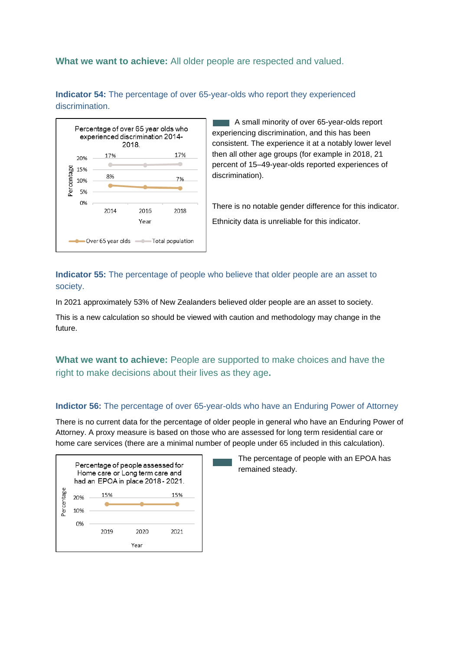#### **What we want to achieve:** All older people are respected and valued.

**Indicator 54:** The percentage of over 65-year-olds who report they experienced discrimination.



A small minority of over 65-year-olds report experiencing discrimination, and this has been consistent. The experience it at a notably lower level then all other age groups (for example in 2018, 21 percent of 15–49-year-olds reported experiences of discrimination).

There is no notable gender difference for this indicator. Ethnicity data is unreliable for this indicator.

**Indicator 55:** The percentage of people who believe that older people are an asset to society.

In 2021 approximately 53% of New Zealanders believed older people are an asset to society.

This is a new calculation so should be viewed with caution and methodology may change in the future.

**What we want to achieve:** People are supported to make choices and have the right to make decisions about their lives as they age**.**

#### **Indictor 56:** The percentage of over 65-year-olds who have an Enduring Power of Attorney

There is no current data for the percentage of older people in general who have an Enduring Power of Attorney. A proxy measure is based on those who are assessed for long term residential care or home care services (there are a minimal number of people under 65 included in this calculation).



The percentage of people with an EPOA has remained steady.